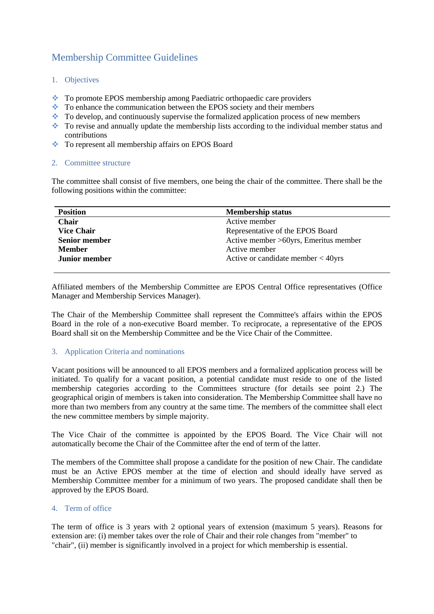# Membership Committee Guidelines

- 1. Objectives
- To promote EPOS membership among Paediatric orthopaedic care providers
- To enhance the communication between the EPOS society and their members
- $\bullet\bullet$  To develop, and continuously supervise the formalized application process of new members
- To revise and annually update the membership lists according to the individual member status and contributions
- To represent all membership affairs on EPOS Board

### 2. Committee structure

The committee shall consist of five members, one being the chair of the committee. There shall be the following positions within the committee:

| <b>Position</b>      | <b>Membership status</b>              |
|----------------------|---------------------------------------|
| <b>Chair</b>         | Active member                         |
| <b>Vice Chair</b>    | Representative of the EPOS Board      |
| <b>Senior member</b> | Active member >60yrs, Emeritus member |
| <b>Member</b>        | Active member                         |
| <b>Junior member</b> | Active or candidate member $<$ 40yrs  |
|                      |                                       |

Affiliated members of the Membership Committee are EPOS Central Office representatives (Office Manager and Membership Services Manager).

The Chair of the Membership Committee shall represent the Committee's affairs within the EPOS Board in the role of a non-executive Board member. To reciprocate, a representative of the EPOS Board shall sit on the Membership Committee and be the Vice Chair of the Committee.

#### 3. Application Criteria and nominations

Vacant positions will be announced to all EPOS members and a formalized application process will be initiated. To qualify for a vacant position, a potential candidate must reside to one of the listed membership categories according to the Committees structure (for details see point 2.) The geographical origin of members is taken into consideration. The Membership Committee shall have no more than two members from any country at the same time. The members of the committee shall elect the new committee members by simple majority.

The Vice Chair of the committee is appointed by the EPOS Board. The Vice Chair will not automatically become the Chair of the Committee after the end of term of the latter.

The members of the Committee shall propose a candidate for the position of new Chair. The candidate must be an Active EPOS member at the time of election and should ideally have served as Membership Committee member for a minimum of two years. The proposed candidate shall then be approved by the EPOS Board.

## 4. Term of office

The term of office is 3 years with 2 optional years of extension (maximum 5 years). Reasons for extension are: (i) member takes over the role of Chair and their role changes from "member" to "chair", (ii) member is significantly involved in a project for which membership is essential.